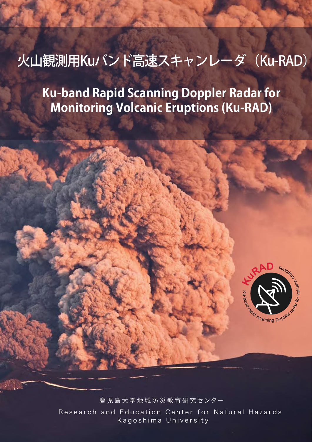# 火山観測用Kuバンド高速スキャンレーダ (Ku-RAD)

**Ku-band Rapid Scanning Doppler Radar for Monitoring Volcanic Eruptions (Ku-RAD)**



鹿 児 島 大 学 地 域 防 災 教 育 研 究 センター Research and Education Center for Natural Hazards Kagoshima University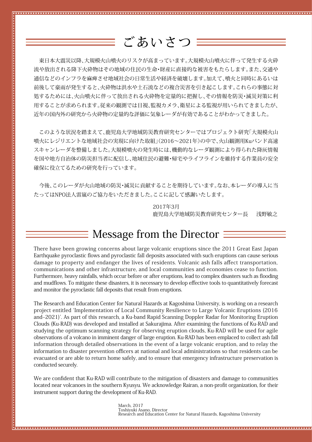ごあいさつ

 東日本大震災以降、大規模火山噴火のリスクが高まっています。大規模火山噴火に伴って発生する火砕 流や放出される降下火砕物はその地域の住民の生命・財産に直接的な被害をもたらします。また、交通や 通信などのインフラを麻痺させ地域社会の日常生活や経済を破壊します。加えて、噴火と同時にあるいは 前後して豪雨が発生すると、火砕物は洪水や土石流などの複合災害を引き起こします。これらの事態に対 処するためには、火山噴火に伴って放出される火砕物を定量的に把握し、その情報を防災・減災対策に利 用することが求められます。従来の観測では目視、監視カメラ、衛星による監視が用いられてきましたが、 近年の国内外の研究から火砕物の定量的な評価に気象レーダが有効であることがわかってきました。

 このような状況を踏まえて、鹿児島大学地域防災教育研究センターではプロジェクト研究「大規模火山 噴火にレジリエントな地域社会の実現に向けた取組」(2016~2021年)の中で、火山観測用Kuバンド高速 スキャンレーダを整備しました。大規模噴火の発生時には、機動的なレーダ観測により得られた降灰情報 を国や地方自治体の防災担当者に配信し、地域住民の避難・帰宅やライフラインを維持する作業員の安全 確保に役立てるための研究を行っています。

 今後、このレーダが火山地域の防災・減災に貢献することを期待しています。なお、本レーダの導入に当 たってはNPO法人雷嵐のご協力をいただきました。ここに記して感謝いたします。

> 2017年3月 鹿児島大学地域防災教育研究センター長 浅野敏之

Message from the Director  $\Xi$ 

There have been growing concerns about large volcanic eruptions since the 2011 Great East Japan Earthquake pyroclastic flows and pyroclastic fall deposits associated with such eruptions can cause serious damage to property and endanger the lives of residents. Volcanic ash falls affect transportation, communications and other infrastructure, and local communities and economies cease to function. Furthermore, heavy rainfalls, which occur before or after eruptions, lead to complex disasters such as flooding and mudflows. To mitigate these disasters, it is necessary to develop effective tools to quantitatively forecast and monitor the pyroclastic fall deposits that result from eruptions.

The Research and Education Center for Natural Hazards at Kagoshima University, is working on a research project entitled ʻImplementation of Local Community Resilience to Large Volcanic Eruptions (2016 and-2021)'. As part of this research, a Ku-band Rapid Scanning Doppler Radar for Monitoring Eruption Clouds (Ku-RAD) was developed and installed at Sakurajima. After examining the functions of Ku-RAD and studying the optimum scanning strategy for observing eruption clouds, Ku-RAD will be used for agile observations of a volcano in imminent danger of large eruption. Ku-RAD has been emplaced to collect ash fall information through detailed observations in the event of a large volcanic eruption, and to relay the information to disaster prevention officers at national and local administrations so that residents can be evacuated or are able to return home safely, and to ensure that emergency infrastructure preservation is conducted securely.

We are confident that Ku-RAD will contribute to the mitigation of disasters and damage to communities located near volcanoes in the southern Kyusyu. We acknowledge Rairan, a non-profit organization, for their instrument support during the development of Ku-RAD.

March, 2017 Toshiyuki Asano, Director Research and Education Center for Natural Hazards, Kagoshima University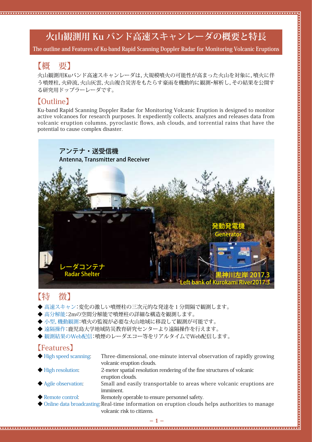# **火山観測用 Ku バンド高速スキャンレーダの概要と特長**

**The outline and Features of Ku-band Rapid Scanning Doppler Radar for Monitoring Volcanic Eruptions**

#### 【概 要】

火山観測用Kuバンド高速スキャンレーダは,大規模噴火の可能性が高まった火山を対象に,噴火に伴 う噴煙柱,火砕流,火山灰雲,火山複合災害をもたらす豪雨を機動的に観測・解析し,その結果を公開す る研究用ドップラーレーダです。

#### 【Outline】

Ku-band Rapid Scanning Doppler Radar for Monitoring Volcanic Eruption is designed to monitor active volcanoes for research purposes. It expediently collects, analyzes and releases data from volcanic eruption columns, pyroclastic flows, ash clouds, and torrential rains that have the potential to cause complex disaster.



### 【特 徴】

- ◆ 高速スキャン:変化の激しい噴煙柱の三次元的な発達を1分間隔で観測します。
- ◆ 高分解能:2mの空間分解能で噴煙柱の詳細な構造を観測します。
- ◆ 小型,機動観測:噴火の監視が必要な火山地域に移設して観測が可能です。
- ◆ 遠隔操作:鹿児島大学地域防災教育研究センターより遠隔操作を行えます。
- ◆ 観測結果のWeb配信:噴煙のレーダエコー等をリアルタイムでWeb配信します。

#### 【Features】

| $\blacktriangleright$ High speed scanning: | Three-dimensional, one-minute interval observation of rapidly growing   |
|--------------------------------------------|-------------------------------------------------------------------------|
|                                            | volcanic eruption clouds.                                               |
| $\blacklozenge$ High resolution:           | 2-meter spatial resolution rendering of the fine structures of volcanic |

- eruption clouds.
- Agile observation: Small and easily transportable to areas where volcanic eruptions are imminent.
- Remote control: Remotely operable to ensure personnel safety.
- ◆ Online data broadcasting: Real-time information on eruption clouds helps authorities to manage volcanic risk to citizens.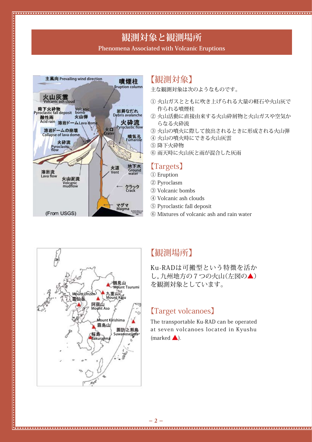# **観測対象と観測場所**

#### **Phenomena Associated with Volcanic Eruptions**



#### 【観測対象】

主な観測対象は次のようなものです。

- ① 火山ガスとともに吹き上げられる大量の軽石や火山灰で 作られる噴煙柱
- ② 火山活動に直接由来する火山砕屑物と火山ガスや空気か らなる火砕流
- ③ 火山の噴火に際して放出されるときに形成される火山弾
- ④ 火山の噴火時にできる火山灰雲
- ⑤ 降下火砕物
- ⑥ 雨天時に火山灰と雨が混合した灰雨

#### 【Targets】

- ① Eruption
- ② Pyroclasm
- ③ Volcanic bombs
- ④ Volcanic ash clouds
- ⑤ Pyroclastic fall deposit
- ⑥ Mixtures of volcanic ash and rain water



### 【観測場所】

Ku-RADは可搬型という特徴を活か し,九州地方の7つの火山(左図の▲) を観測対象としています。

#### 【Target volcanoes】

The transportable Ku-RAD can be operated at seven volcanoes located in Kyushu  ${\sf (marked \triangle)}$ .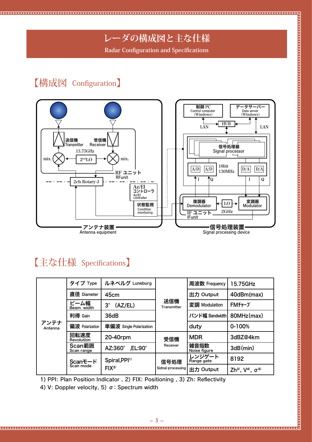# **レーダの構成図と主な仕様**

**Radar Configuration and Specifications**

## 【構成図 Configuration】

. . . . . . . . . .



# 【主な仕様 Specifications】

|                 | タイプ Type                    | ルネベルグ Luneburg              | 送信機<br>Transmitter        | 周波数 Frequency        | 15.75GHz                                  |
|-----------------|-----------------------------|-----------------------------|---------------------------|----------------------|-------------------------------------------|
|                 | 直径 Diameter                 | 45cm                        |                           | 出力 Output            | 40dBm(max)                                |
|                 | ビーム幅<br>Beam width          | (AZ/EL)<br>$3^\circ$        |                           | 変調 Modulation        | FMチャープ                                    |
|                 | 利得 Gain                     | 36dB                        |                           | バンド幅 Bandwidth       | 80MHz(max)                                |
| アンテナ<br>Antenna | 偏波 Polarization             | 単偏波 Single Polarization     |                           | duty                 | 0-100%                                    |
|                 | 回転速度<br>Revolution          | 20-40rpm                    | 受信機<br>Receiver           | <b>MDR</b>           | 3dBZ@4km                                  |
|                 | Scan範囲<br>Scan range        | $, EL: 90^\circ$<br>AZ:360° |                           | 雑音指数<br>Noise figure | 3dB(min)                                  |
|                 | <b>Scanモード</b><br>Scan mode | Spiral, PPI <sup>1</sup>    | 信号処理<br>Sidnal processing | レンジゲート<br>Range gate | 8192                                      |
|                 |                             | FIX <sup>2</sup>            |                           | 出力 Output            | Zh <sup>3)</sup> , $V^{4}$ , $\sigma^{5}$ |

1) PPI: Plan Position Indicator , 2) FIX: Positioning , 3) Zh: Reflectivity

4) V: Doppler velocity, 5)  $\sigma$ : Spectrum width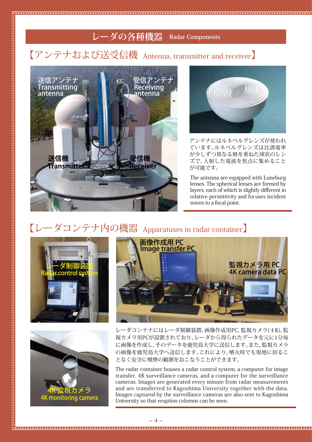## **レーダの各種機器 Radar Components**

# 【アンテナおよび送受信機 Antenna, transmitter and receiver】





アンテナにはルネベルグレンズが使われ ています。ルネベルグレンズは比誘電率 が少しずつ異なる層を重ねた球状のレン ズで,入射した電波を焦点に集めること が可能です。

relative permittivity and focuses incident The antenna are equipped with Luneburg lenses. The spherical lenses are formed by layers, each of which is slightly different in waves to a focal point.

# 【レーダコンテナ内の機器 Apparatuses in radar container】







レーダコンテナにはレーダ制御装置,画像作成用PC,監視カメラ(4K),監 視カメラ用PCが設置されており,レーダから得られたデータを元に1分毎 に画像を作成し,そのデータを鹿児島大学に送信します。また,監視カメラ の画像を鹿児島大学へ送信します。これにより,噴火時でも現地に居るこ となく安全に噴煙の観測をおこなうことができます。

The radar container houses a radar control system, a computer for image transfer, 4K surveillance cameras, and a computer for the surveillance cameras. Images are generated every minute from radar measurements and are transferred to Kagoshima University together with the data. Images captured by the surveillance cameras are also sent to Kagoshima University so that eruption columns can be seen.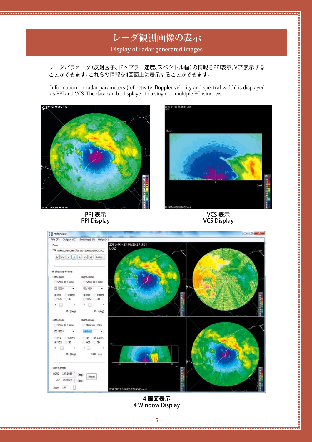### **レーダ観測画像の表示 Display of radar generated images**

レーダパラメータ(反射因子、ドップラー速度、スペクトル幅)の情報をPPI表示,VCS表示する ことができます。これらの情報を4画面上に表示することができます。

Information on radar parameters (reflectivity, Doppler velocity and spectral width) is displayed as PPI and VCS. The data can be displayed in a single or multiple PC windows.



. . . . . . . . . . .



<u>.................</u>,

PPI 表示 PPI Display





4 画面表示 4 Window Display